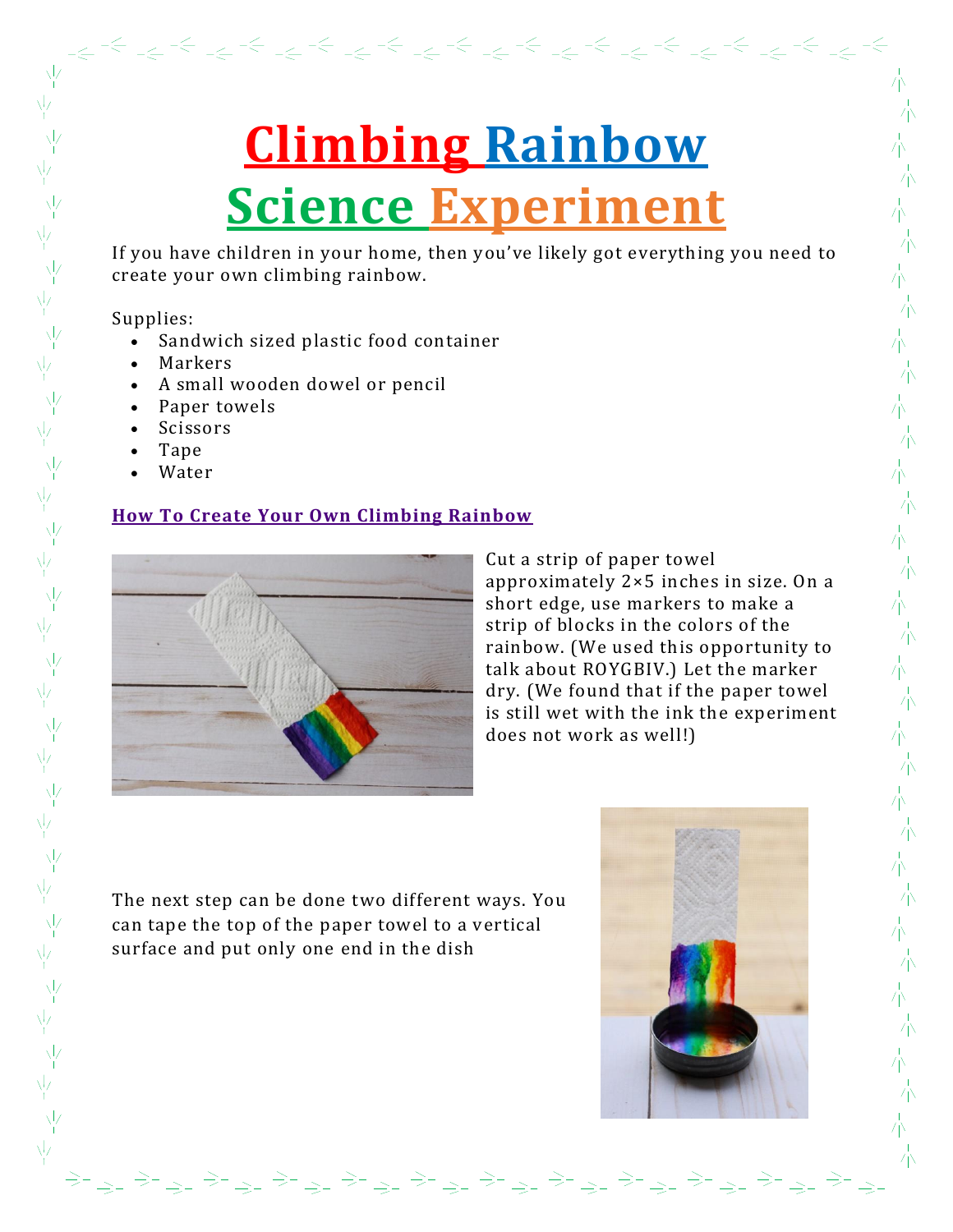## **Climbing Rainbow Science Experiment**

If you have children in your home, then you've likely got everything you need to create your own climbing rainbow.

<u> .</u><br>이 이 이 이 이 이 이 이 이 이 이 있어 .

Supplies:

 $\frac{\sqrt{2}}{\sqrt{2}}$ 

 $\frac{\sqrt{7}}{1}$ 

 $\frac{\sqrt{2}}{4}$ 

 $\frac{\sqrt{2}}{2}$ 

 $\begin{array}{c} \n\sqrt{2} \\
\sqrt{2} \\
\sqrt{2} \\
\sqrt{2} \\
\sqrt{2}\n\end{array}$ 

 $\frac{\sqrt{2}}{2}$ 

 $\frac{\sqrt{2}}{2}$ 

 $\frac{\sqrt{2}}{4}$  $\frac{1}{\sqrt{2}}$ 

 $\frac{\Delta V}{\Delta V}$ 

 $\frac{\sqrt{7}}{1}$ 

 $\frac{\sqrt{2}}{4}$ 

 $\frac{\sqrt{7}}{1}$  $\frac{1}{2}$ 

 $\frac{1}{\sqrt{2}}$ 

 $\frac{1}{\sqrt{2}}$ 

 $\frac{\sqrt{7}}{1}$ 

 $\frac{1}{2}$ 

- Sandwich sized plastic food container
- Markers
- A small wooden dowel or pencil
- Paper towels
- Scissors
- Tape
- Water

## **How To Create Your Own Climbing Rainbow**



Cut a strip of paper towel approximately 2×5 inches in size. On a short edge, use markers to make a strip of blocks in the colors of the rainbow. (We used this opportunity to talk about ROYGBIV.) Let the marker dry. (We found that if the paper towel is still wet with the ink the experiment does not work as well!)

六

一本一本

六

小

未未未未未未未

六

六

 $\frac{1}{\sqrt{N}}$ 

六

The next step can be done two different ways. You can tape the top of the paper towel to a vertical surface and put only one end in the dish